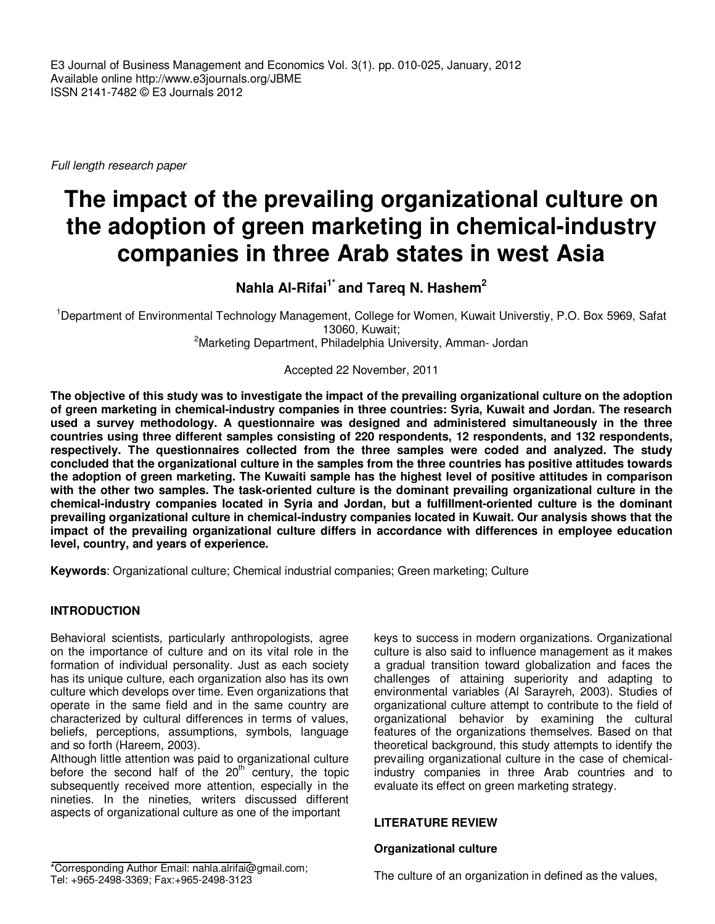E3 Journal of Business Management and Economics Vol. 3(1). pp. 010-025, January, 2012 Available online http://www.e3journals.org/JBME ISSN 2141-7482 © E3 Journals 2012

Full length research paper

# **The impact of the prevailing organizational culture on the adoption of green marketing in chemical-industry companies in three Arab states in west Asia**

# **Nahla Al-Rifai1\* and Tareq N. Hashem<sup>2</sup>**

<sup>1</sup>Department of Environmental Technology Management, College for Women, Kuwait Universtiy, P.O. Box 5969, Safat 13060, Kuwait;

<sup>2</sup>Marketing Department, Philadelphia University, Amman- Jordan

Accepted 22 November, 2011

**The objective of this study was to investigate the impact of the prevailing organizational culture on the adoption of green marketing in chemical-industry companies in three countries: Syria, Kuwait and Jordan. The research used a survey methodology. A questionnaire was designed and administered simultaneously in the three countries using three different samples consisting of 220 respondents, 12 respondents, and 132 respondents, respectively. The questionnaires collected from the three samples were coded and analyzed. The study concluded that the organizational culture in the samples from the three countries has positive attitudes towards the adoption of green marketing. The Kuwaiti sample has the highest level of positive attitudes in comparison with the other two samples. The task-oriented culture is the dominant prevailing organizational culture in the chemical-industry companies located in Syria and Jordan, but a fulfillment-oriented culture is the dominant prevailing organizational culture in chemical-industry companies located in Kuwait. Our analysis shows that the impact of the prevailing organizational culture differs in accordance with differences in employee education level, country, and years of experience.** 

**Keywords**: Organizational culture; Chemical industrial companies; Green marketing; Culture

# **INTRODUCTION**

Behavioral scientists, particularly anthropologists, agree on the importance of culture and on its vital role in the formation of individual personality. Just as each society has its unique culture, each organization also has its own culture which develops over time. Even organizations that operate in the same field and in the same country are characterized by cultural differences in terms of values, beliefs, perceptions, assumptions, symbols, language and so forth (Hareem, 2003).

Although little attention was paid to organizational culture before the second half of the  $20<sup>th</sup>$  century, the topic subsequently received more attention, especially in the nineties. In the nineties, writers discussed different aspects of organizational culture as one of the important

keys to success in modern organizations. Organizational culture is also said to influence management as it makes a gradual transition toward globalization and faces the challenges of attaining superiority and adapting to environmental variables (Al Sarayreh, 2003). Studies of organizational culture attempt to contribute to the field of organizational behavior by examining the cultural features of the organizations themselves. Based on that theoretical background, this study attempts to identify the prevailing organizational culture in the case of chemicalindustry companies in three Arab countries and to evaluate its effect on green marketing strategy.

#### **LITERATURE REVIEW**

### **Organizational culture**

The culture of an organization in defined as the values,

<sup>\*</sup>Corresponding Author Email: nahla.alrifai@gmail.com; Tel: +965-2498-3369; Fax:+965-2498-3123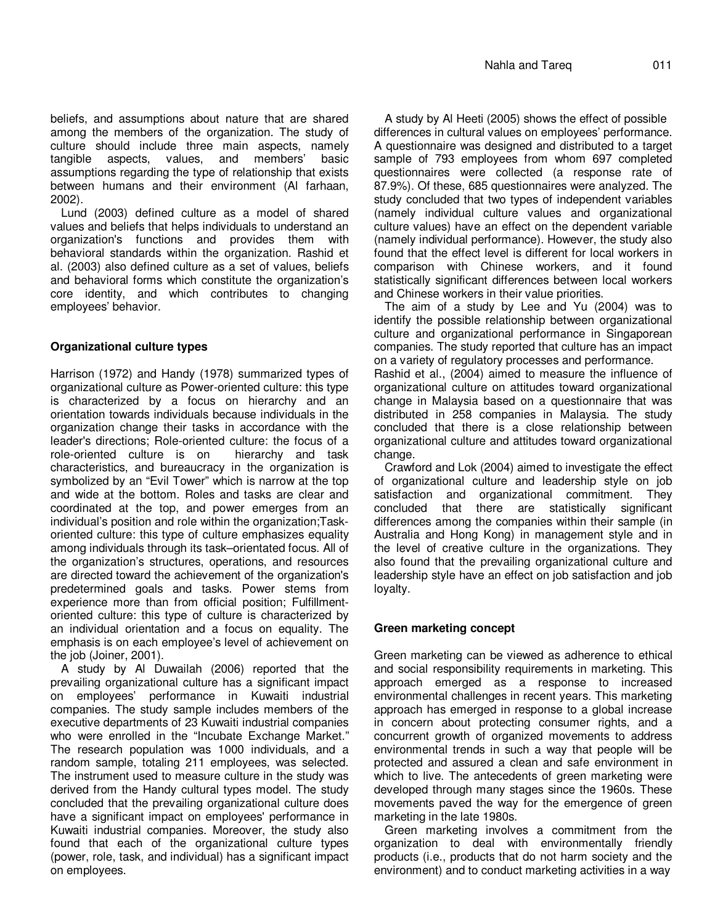beliefs, and assumptions about nature that are shared among the members of the organization. The study of culture should include three main aspects, namely tangible aspects, values, and members' basic assumptions regarding the type of relationship that exists between humans and their environment (Al farhaan, 2002).

Lund (2003) defined culture as a model of shared values and beliefs that helps individuals to understand an organization's functions and provides them with behavioral standards within the organization. Rashid et al. (2003) also defined culture as a set of values, beliefs and behavioral forms which constitute the organization's core identity, and which contributes to changing employees' behavior.

# **Organizational culture types**

Harrison (1972) and Handy (1978) summarized types of organizational culture as Power-oriented culture: this type is characterized by a focus on hierarchy and an orientation towards individuals because individuals in the organization change their tasks in accordance with the leader's directions; Role-oriented culture: the focus of a role-oriented culture is on hierarchy and task characteristics, and bureaucracy in the organization is symbolized by an "Evil Tower" which is narrow at the top and wide at the bottom. Roles and tasks are clear and coordinated at the top, and power emerges from an individual's position and role within the organization;Taskoriented culture: this type of culture emphasizes equality among individuals through its task–orientated focus. All of the organization's structures, operations, and resources are directed toward the achievement of the organization's predetermined goals and tasks. Power stems from experience more than from official position; Fulfillmentoriented culture: this type of culture is characterized by an individual orientation and a focus on equality. The emphasis is on each employee's level of achievement on the job (Joiner, 2001).

A study by Al Duwailah (2006) reported that the prevailing organizational culture has a significant impact on employees' performance in Kuwaiti industrial companies. The study sample includes members of the executive departments of 23 Kuwaiti industrial companies who were enrolled in the "Incubate Exchange Market." The research population was 1000 individuals, and a random sample, totaling 211 employees, was selected. The instrument used to measure culture in the study was derived from the Handy cultural types model. The study concluded that the prevailing organizational culture does have a significant impact on employees' performance in Kuwaiti industrial companies. Moreover, the study also found that each of the organizational culture types (power, role, task, and individual) has a significant impact on employees.

A study by Al Heeti (2005) shows the effect of possible differences in cultural values on employees' performance. A questionnaire was designed and distributed to a target sample of 793 employees from whom 697 completed questionnaires were collected (a response rate of 87.9%). Of these, 685 questionnaires were analyzed. The study concluded that two types of independent variables (namely individual culture values and organizational culture values) have an effect on the dependent variable (namely individual performance). However, the study also found that the effect level is different for local workers in comparison with Chinese workers, and it found statistically significant differences between local workers and Chinese workers in their value priorities.

The aim of a study by Lee and Yu (2004) was to identify the possible relationship between organizational culture and organizational performance in Singaporean companies. The study reported that culture has an impact on a variety of regulatory processes and performance.

Rashid et al., (2004) aimed to measure the influence of organizational culture on attitudes toward organizational change in Malaysia based on a questionnaire that was distributed in 258 companies in Malaysia. The study concluded that there is a close relationship between organizational culture and attitudes toward organizational change.

Crawford and Lok (2004) aimed to investigate the effect of organizational culture and leadership style on job satisfaction and organizational commitment. They concluded that there are statistically significant differences among the companies within their sample (in Australia and Hong Kong) in management style and in the level of creative culture in the organizations. They also found that the prevailing organizational culture and leadership style have an effect on job satisfaction and job loyalty.

#### **Green marketing concept**

Green marketing can be viewed as adherence to ethical and social responsibility requirements in marketing. This approach emerged as a response to increased environmental challenges in recent years. This marketing approach has emerged in response to a global increase in concern about protecting consumer rights, and a concurrent growth of organized movements to address environmental trends in such a way that people will be protected and assured a clean and safe environment in which to live. The antecedents of green marketing were developed through many stages since the 1960s. These movements paved the way for the emergence of green marketing in the late 1980s.

Green marketing involves a commitment from the organization to deal with environmentally friendly products (i.e., products that do not harm society and the environment) and to conduct marketing activities in a way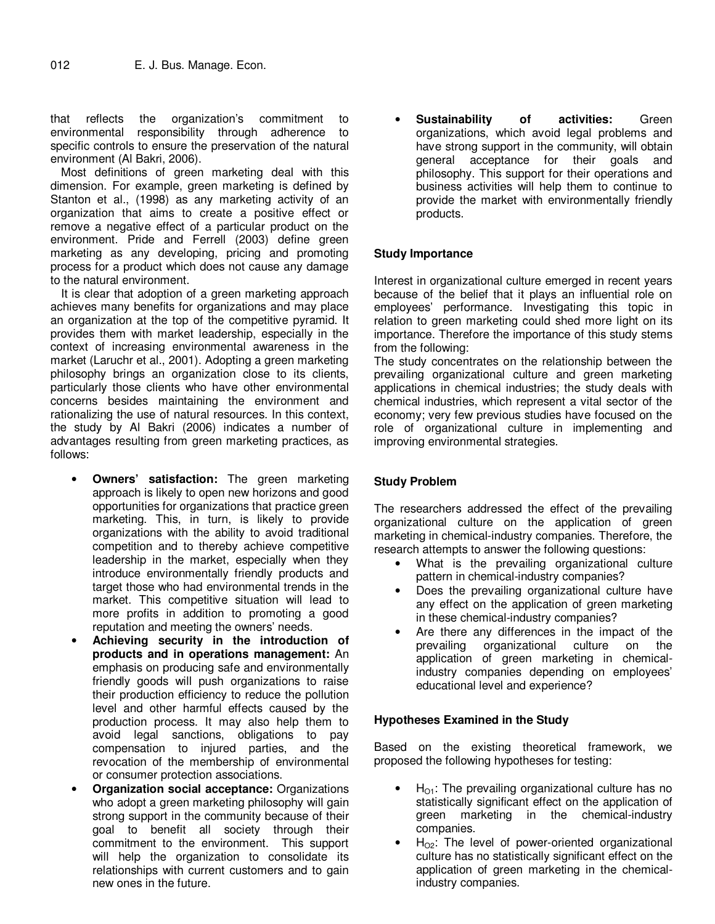that reflects the organization's commitment to environmental responsibility through adherence to specific controls to ensure the preservation of the natural environment (Al Bakri, 2006).

Most definitions of green marketing deal with this dimension. For example, green marketing is defined by Stanton et al., (1998) as any marketing activity of an organization that aims to create a positive effect or remove a negative effect of a particular product on the environment. Pride and Ferrell (2003) define green marketing as any developing, pricing and promoting process for a product which does not cause any damage to the natural environment.

It is clear that adoption of a green marketing approach achieves many benefits for organizations and may place an organization at the top of the competitive pyramid. It provides them with market leadership, especially in the context of increasing environmental awareness in the market (Laruchr et al., 2001). Adopting a green marketing philosophy brings an organization close to its clients, particularly those clients who have other environmental concerns besides maintaining the environment and rationalizing the use of natural resources. In this context, the study by Al Bakri (2006) indicates a number of advantages resulting from green marketing practices, as follows:

- **Owners' satisfaction:** The green marketing approach is likely to open new horizons and good opportunities for organizations that practice green marketing. This, in turn, is likely to provide organizations with the ability to avoid traditional competition and to thereby achieve competitive leadership in the market, especially when they introduce environmentally friendly products and target those who had environmental trends in the market. This competitive situation will lead to more profits in addition to promoting a good reputation and meeting the owners' needs.
- **Achieving security in the introduction of products and in operations management:** An emphasis on producing safe and environmentally friendly goods will push organizations to raise their production efficiency to reduce the pollution level and other harmful effects caused by the production process. It may also help them to avoid legal sanctions, obligations to pay compensation to injured parties, and the revocation of the membership of environmental or consumer protection associations.
- **Organization social acceptance:** Organizations who adopt a green marketing philosophy will gain strong support in the community because of their goal to benefit all society through their commitment to the environment. This support will help the organization to consolidate its relationships with current customers and to gain new ones in the future.

• **Sustainability of activities:** Green organizations, which avoid legal problems and have strong support in the community, will obtain general acceptance for their goals and philosophy. This support for their operations and business activities will help them to continue to provide the market with environmentally friendly products.

#### **Study Importance**

Interest in organizational culture emerged in recent years because of the belief that it plays an influential role on employees' performance. Investigating this topic in relation to green marketing could shed more light on its importance. Therefore the importance of this study stems from the following:

The study concentrates on the relationship between the prevailing organizational culture and green marketing applications in chemical industries; the study deals with chemical industries, which represent a vital sector of the economy; very few previous studies have focused on the role of organizational culture in implementing and improving environmental strategies.

# **Study Problem**

The researchers addressed the effect of the prevailing organizational culture on the application of green marketing in chemical-industry companies. Therefore, the research attempts to answer the following questions:

- What is the prevailing organizational culture pattern in chemical-industry companies?
- Does the prevailing organizational culture have any effect on the application of green marketing in these chemical-industry companies?
- Are there any differences in the impact of the prevailing organizational culture on the prevailing organizational culture on the application of green marketing in chemicalindustry companies depending on employees' educational level and experience?

# **Hypotheses Examined in the Study**

Based on the existing theoretical framework, we proposed the following hypotheses for testing:

- $H<sub>O1</sub>$ : The prevailing organizational culture has no statistically significant effect on the application of green marketing in the chemical-industry companies.
- $H_{\text{O2}}$ : The level of power-oriented organizational culture has no statistically significant effect on the application of green marketing in the chemicalindustry companies.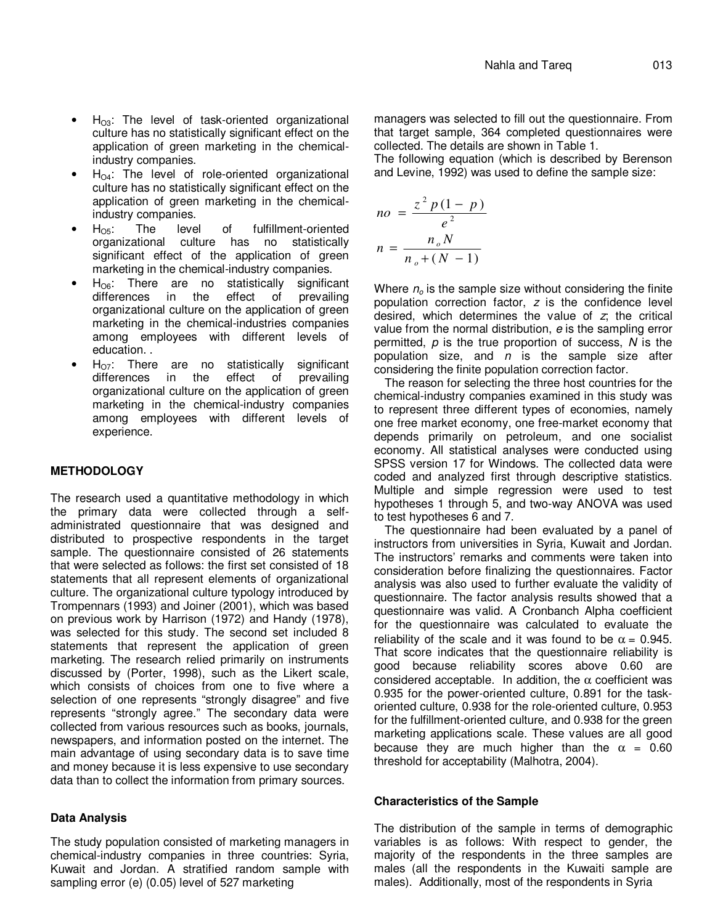- $H<sub>OS</sub>$ : The level of task-oriented organizational culture has no statistically significant effect on the application of green marketing in the chemicalindustry companies.
- $H_{04}$ : The level of role-oriented organizational culture has no statistically significant effect on the application of green marketing in the chemicalindustry companies.
- $H_{\text{OS}}$ : The level of fulfillment-oriented<br>organizational culture has no statistically organizational culture has no significant effect of the application of green marketing in the chemical-industry companies.
- $H_{\text{O6}}$ : There are no statistically significant differences in the effect of prevailing differences organizational culture on the application of green marketing in the chemical-industries companies among employees with different levels of education. .
- $H_{\text{O7}}$ : There are no statistically significant differences in the effect of prevailing differences organizational culture on the application of green marketing in the chemical-industry companies among employees with different levels of experience.

# **METHODOLOGY**

The research used a quantitative methodology in which the primary data were collected through a selfadministrated questionnaire that was designed and distributed to prospective respondents in the target sample. The questionnaire consisted of 26 statements that were selected as follows: the first set consisted of 18 statements that all represent elements of organizational culture. The organizational culture typology introduced by Trompennars (1993) and Joiner (2001), which was based on previous work by Harrison (1972) and Handy (1978), was selected for this study. The second set included 8 statements that represent the application of green marketing. The research relied primarily on instruments discussed by (Porter, 1998), such as the Likert scale, which consists of choices from one to five where a selection of one represents "strongly disagree" and five represents "strongly agree." The secondary data were collected from various resources such as books, journals, newspapers, and information posted on the internet. The main advantage of using secondary data is to save time and money because it is less expensive to use secondary data than to collect the information from primary sources.

# **Data Analysis**

The study population consisted of marketing managers in chemical-industry companies in three countries: Syria, Kuwait and Jordan. A stratified random sample with sampling error (e) (0.05) level of 527 marketing

managers was selected to fill out the questionnaire. From that target sample, 364 completed questionnaires were collected. The details are shown in Table 1.

The following equation (which is described by Berenson and Levine, 1992) was used to define the sample size:

$$
no = \frac{z^2 p (1 - p)}{e^2}
$$

$$
n = \frac{n_o N}{n_o + (N - 1)}
$$

Where  $n<sub>o</sub>$  is the sample size without considering the finite population correction factor,  $z$  is the confidence level desired, which determines the value of z; the critical value from the normal distribution, e is the sampling error permitted,  $p$  is the true proportion of success,  $N$  is the population size, and  $n$  is the sample size after considering the finite population correction factor.

The reason for selecting the three host countries for the chemical-industry companies examined in this study was to represent three different types of economies, namely one free market economy, one free-market economy that depends primarily on petroleum, and one socialist economy. All statistical analyses were conducted using SPSS version 17 for Windows. The collected data were coded and analyzed first through descriptive statistics. Multiple and simple regression were used to test hypotheses 1 through 5, and two-way ANOVA was used to test hypotheses 6 and 7.

The questionnaire had been evaluated by a panel of instructors from universities in Syria, Kuwait and Jordan. The instructors' remarks and comments were taken into consideration before finalizing the questionnaires. Factor analysis was also used to further evaluate the validity of questionnaire. The factor analysis results showed that a questionnaire was valid. A Cronbanch Alpha coefficient for the questionnaire was calculated to evaluate the reliability of the scale and it was found to be  $\alpha = 0.945$ . That score indicates that the questionnaire reliability is good because reliability scores above 0.60 are considered acceptable. In addition, the  $\alpha$  coefficient was 0.935 for the power-oriented culture, 0.891 for the taskoriented culture, 0.938 for the role-oriented culture, 0.953 for the fulfillment-oriented culture, and 0.938 for the green marketing applications scale. These values are all good because they are much higher than the  $\alpha = 0.60$ threshold for acceptability (Malhotra, 2004).

#### **Characteristics of the Sample**

The distribution of the sample in terms of demographic variables is as follows: With respect to gender, the majority of the respondents in the three samples are males (all the respondents in the Kuwaiti sample are males). Additionally, most of the respondents in Syria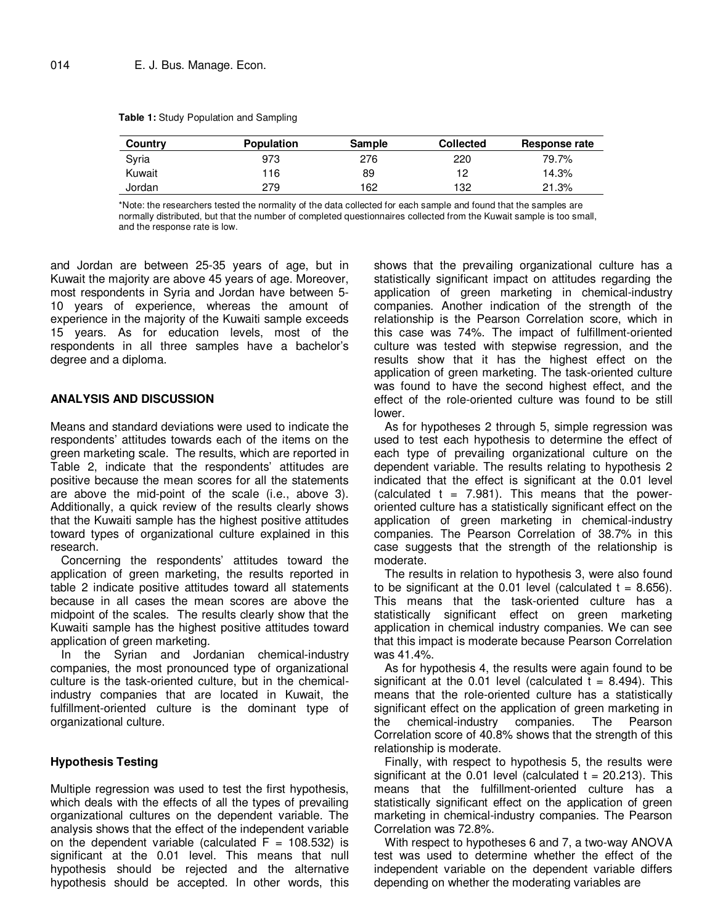| Country | <b>Population</b> | <b>Sample</b> | <b>Collected</b> | Response rate |
|---------|-------------------|---------------|------------------|---------------|
| Syria   | 973               | 276           | 220              | 79.7%         |
| Kuwait  | 116               | 89            | 19               | 14.3%         |
| Jordan  | 279               | 162           | 132              | 21.3%         |

**Table 1:** Study Population and Sampling

\*Note: the researchers tested the normality of the data collected for each sample and found that the samples are normally distributed, but that the number of completed questionnaires collected from the Kuwait sample is too small, and the response rate is low.

and Jordan are between 25-35 years of age, but in Kuwait the majority are above 45 years of age. Moreover, most respondents in Syria and Jordan have between 5- 10 years of experience, whereas the amount of experience in the majority of the Kuwaiti sample exceeds 15 years. As for education levels, most of the respondents in all three samples have a bachelor's degree and a diploma.

#### **ANALYSIS AND DISCUSSION**

Means and standard deviations were used to indicate the respondents' attitudes towards each of the items on the green marketing scale. The results, which are reported in Table 2, indicate that the respondents' attitudes are positive because the mean scores for all the statements are above the mid-point of the scale (i.e., above 3). Additionally, a quick review of the results clearly shows that the Kuwaiti sample has the highest positive attitudes toward types of organizational culture explained in this research.

Concerning the respondents' attitudes toward the application of green marketing, the results reported in table 2 indicate positive attitudes toward all statements because in all cases the mean scores are above the midpoint of the scales. The results clearly show that the Kuwaiti sample has the highest positive attitudes toward application of green marketing.

In the Syrian and Jordanian chemical-industry companies, the most pronounced type of organizational culture is the task-oriented culture, but in the chemicalindustry companies that are located in Kuwait, the fulfillment-oriented culture is the dominant type of organizational culture.

#### **Hypothesis Testing**

Multiple regression was used to test the first hypothesis, which deals with the effects of all the types of prevailing organizational cultures on the dependent variable. The analysis shows that the effect of the independent variable on the dependent variable (calculated  $F = 108.532$ ) is significant at the 0.01 level. This means that null hypothesis should be rejected and the alternative hypothesis should be accepted. In other words, this

shows that the prevailing organizational culture has a statistically significant impact on attitudes regarding the application of green marketing in chemical-industry companies. Another indication of the strength of the relationship is the Pearson Correlation score, which in this case was 74%. The impact of fulfillment-oriented culture was tested with stepwise regression, and the results show that it has the highest effect on the application of green marketing. The task-oriented culture was found to have the second highest effect, and the effect of the role-oriented culture was found to be still lower.

As for hypotheses 2 through 5, simple regression was used to test each hypothesis to determine the effect of each type of prevailing organizational culture on the dependent variable. The results relating to hypothesis 2 indicated that the effect is significant at the 0.01 level (calculated  $t = 7.981$ ). This means that the poweroriented culture has a statistically significant effect on the application of green marketing in chemical-industry companies. The Pearson Correlation of 38.7% in this case suggests that the strength of the relationship is moderate.

The results in relation to hypothesis 3, were also found to be significant at the  $0.01$  level (calculated  $t = 8.656$ ). This means that the task-oriented culture has a statistically significant effect on green marketing application in chemical industry companies. We can see that this impact is moderate because Pearson Correlation was 41.4%.

As for hypothesis 4, the results were again found to be significant at the 0.01 level (calculated  $t = 8.494$ ). This means that the role-oriented culture has a statistically significant effect on the application of green marketing in<br>the chemical-industry companies. The Pearson the chemical-industry companies. The Correlation score of 40.8% shows that the strength of this relationship is moderate.

Finally, with respect to hypothesis 5, the results were significant at the 0.01 level (calculated  $t = 20.213$ ). This means that the fulfillment-oriented culture has a statistically significant effect on the application of green marketing in chemical-industry companies. The Pearson Correlation was 72.8%.

With respect to hypotheses 6 and 7, a two-way ANOVA test was used to determine whether the effect of the independent variable on the dependent variable differs depending on whether the moderating variables are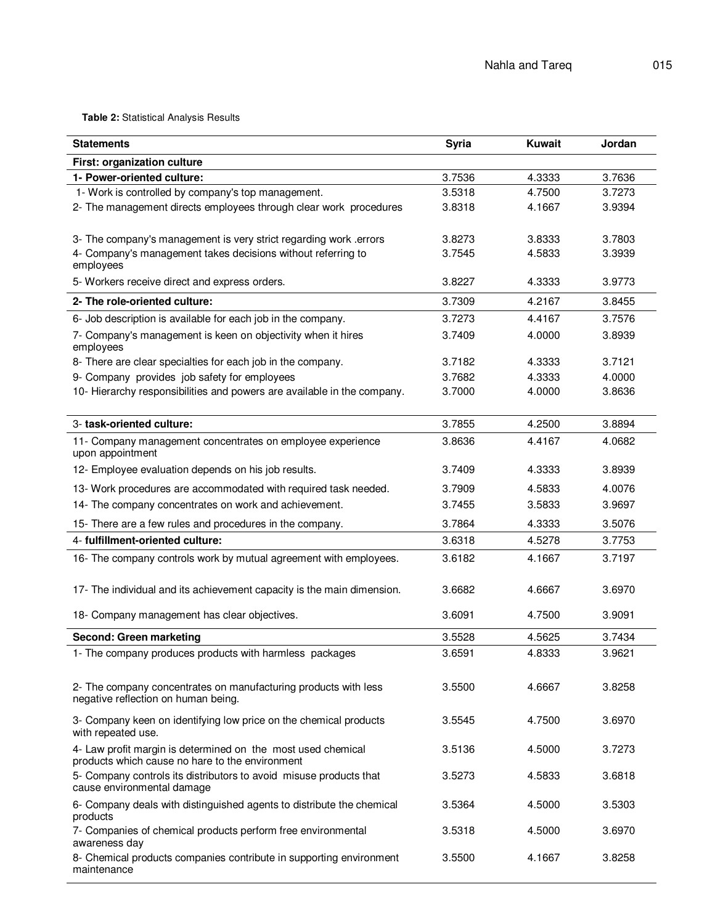**Table 2:** Statistical Analysis Results

| <b>Statements</b>                                                                                               | <b>Syria</b> | <b>Kuwait</b> | Jordan |
|-----------------------------------------------------------------------------------------------------------------|--------------|---------------|--------|
| First: organization culture                                                                                     |              |               |        |
| 1- Power-oriented culture:                                                                                      | 3.7536       | 4.3333        | 3.7636 |
| 1- Work is controlled by company's top management.                                                              | 3.5318       | 4.7500        | 3.7273 |
| 2- The management directs employees through clear work procedures                                               | 3.8318       | 4.1667        | 3.9394 |
| 3- The company's management is very strict regarding work .errors                                               | 3.8273       | 3.8333        | 3.7803 |
| 4- Company's management takes decisions without referring to<br>employees                                       | 3.7545       | 4.5833        | 3.3939 |
| 5- Workers receive direct and express orders.                                                                   | 3.8227       | 4.3333        | 3.9773 |
| 2- The role-oriented culture:                                                                                   | 3.7309       | 4.2167        | 3.8455 |
| 6- Job description is available for each job in the company.                                                    | 3.7273       | 4.4167        | 3.7576 |
| 7- Company's management is keen on objectivity when it hires<br>employees                                       | 3.7409       | 4.0000        | 3.8939 |
| 8- There are clear specialties for each job in the company.                                                     | 3.7182       | 4.3333        | 3.7121 |
| 9- Company provides job safety for employees                                                                    | 3.7682       | 4.3333        | 4.0000 |
| 10- Hierarchy responsibilities and powers are available in the company.                                         | 3.7000       | 4.0000        | 3.8636 |
| 3- task-oriented culture:                                                                                       | 3.7855       | 4.2500        | 3.8894 |
| 11- Company management concentrates on employee experience<br>upon appointment                                  | 3.8636       | 4.4167        | 4.0682 |
| 12- Employee evaluation depends on his job results.                                                             | 3.7409       | 4.3333        | 3.8939 |
| 13- Work procedures are accommodated with required task needed.                                                 | 3.7909       | 4.5833        | 4.0076 |
| 14- The company concentrates on work and achievement.                                                           | 3.7455       | 3.5833        | 3.9697 |
| 15- There are a few rules and procedures in the company.                                                        | 3.7864       | 4.3333        | 3.5076 |
| 4- fulfillment-oriented culture:                                                                                | 3.6318       | 4.5278        | 3.7753 |
| 16- The company controls work by mutual agreement with employees.                                               | 3.6182       | 4.1667        | 3.7197 |
| 17- The individual and its achievement capacity is the main dimension.                                          | 3.6682       | 4.6667        | 3.6970 |
| 18- Company management has clear objectives.                                                                    | 3.6091       | 4.7500        | 3.9091 |
| Second: Green marketing                                                                                         | 3.5528       | 4.5625        | 3.7434 |
| 1- The company produces products with harmless packages                                                         | 3.6591       | 4.8333        | 3.9621 |
| 2- The company concentrates on manufacturing products with less<br>negative reflection on human being.          | 3.5500       | 4.6667        | 3.8258 |
| 3- Company keen on identifying low price on the chemical products<br>with repeated use.                         | 3.5545       | 4.7500        | 3.6970 |
| 4- Law profit margin is determined on the most used chemical<br>products which cause no hare to the environment | 3.5136       | 4.5000        | 3.7273 |
| 5- Company controls its distributors to avoid misuse products that<br>cause environmental damage                | 3.5273       | 4.5833        | 3.6818 |
| 6- Company deals with distinguished agents to distribute the chemical<br>products                               | 3.5364       | 4.5000        | 3.5303 |
| 7- Companies of chemical products perform free environmental<br>awareness day                                   | 3.5318       | 4.5000        | 3.6970 |
| 8- Chemical products companies contribute in supporting environment<br>maintenance                              | 3.5500       | 4.1667        | 3.8258 |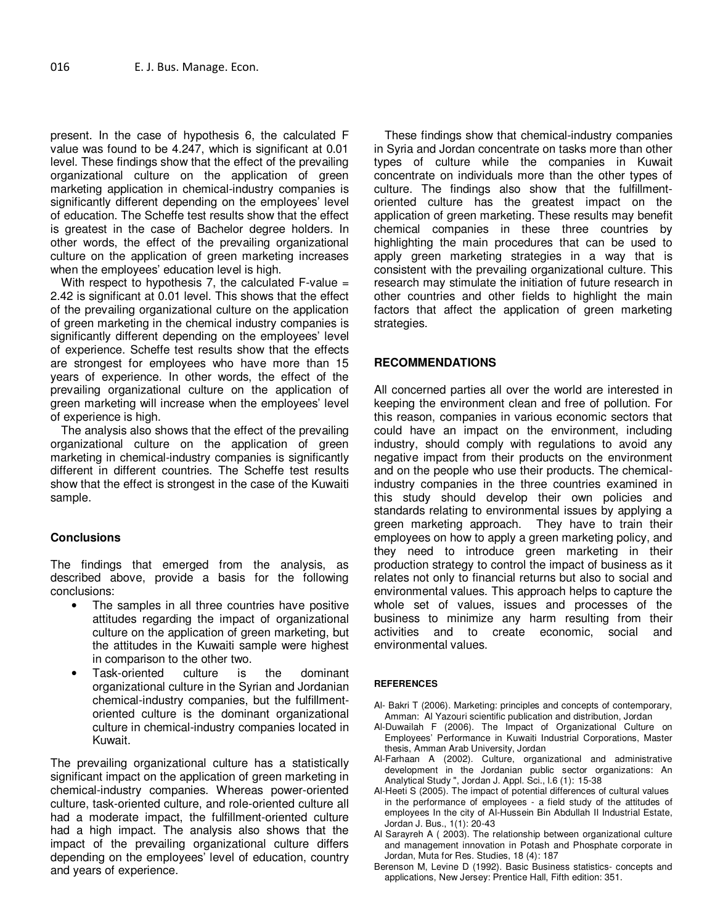present. In the case of hypothesis 6, the calculated F value was found to be 4.247, which is significant at 0.01 level. These findings show that the effect of the prevailing organizational culture on the application of green marketing application in chemical-industry companies is significantly different depending on the employees' level of education. The Scheffe test results show that the effect is greatest in the case of Bachelor degree holders. In other words, the effect of the prevailing organizational culture on the application of green marketing increases when the employees' education level is high.

With respect to hypothesis 7, the calculated F-value  $=$ 2.42 is significant at 0.01 level. This shows that the effect of the prevailing organizational culture on the application of green marketing in the chemical industry companies is significantly different depending on the employees' level of experience. Scheffe test results show that the effects are strongest for employees who have more than 15 years of experience. In other words, the effect of the prevailing organizational culture on the application of green marketing will increase when the employees' level of experience is high.

The analysis also shows that the effect of the prevailing organizational culture on the application of green marketing in chemical-industry companies is significantly different in different countries. The Scheffe test results show that the effect is strongest in the case of the Kuwaiti sample.

#### **Conclusions**

The findings that emerged from the analysis, as described above, provide a basis for the following conclusions:

- The samples in all three countries have positive attitudes regarding the impact of organizational culture on the application of green marketing, but the attitudes in the Kuwaiti sample were highest in comparison to the other two.
- Task-oriented culture is the dominant organizational culture in the Syrian and Jordanian chemical-industry companies, but the fulfillmentoriented culture is the dominant organizational culture in chemical-industry companies located in Kuwait.

The prevailing organizational culture has a statistically significant impact on the application of green marketing in chemical-industry companies. Whereas power-oriented culture, task-oriented culture, and role-oriented culture all had a moderate impact, the fulfillment-oriented culture had a high impact. The analysis also shows that the impact of the prevailing organizational culture differs depending on the employees' level of education, country and years of experience.

These findings show that chemical-industry companies in Syria and Jordan concentrate on tasks more than other types of culture while the companies in Kuwait concentrate on individuals more than the other types of culture. The findings also show that the fulfillmentoriented culture has the greatest impact on the application of green marketing. These results may benefit chemical companies in these three countries by highlighting the main procedures that can be used to apply green marketing strategies in a way that is consistent with the prevailing organizational culture. This research may stimulate the initiation of future research in other countries and other fields to highlight the main factors that affect the application of green marketing strategies.

#### **RECOMMENDATIONS**

All concerned parties all over the world are interested in keeping the environment clean and free of pollution. For this reason, companies in various economic sectors that could have an impact on the environment, including industry, should comply with regulations to avoid any negative impact from their products on the environment and on the people who use their products. The chemicalindustry companies in the three countries examined in this study should develop their own policies and standards relating to environmental issues by applying a green marketing approach. They have to train their employees on how to apply a green marketing policy, and they need to introduce green marketing in their production strategy to control the impact of business as it relates not only to financial returns but also to social and environmental values. This approach helps to capture the whole set of values, issues and processes of the business to minimize any harm resulting from their activities and to create economic, social and environmental values.

#### **REFERENCES**

- Al- Bakri T (2006). Marketing: principles and concepts of contemporary, Amman: Al Yazouri scientific publication and distribution, Jordan
- Al-Duwailah F (2006). The Impact of Organizational Culture on Employees' Performance in Kuwaiti Industrial Corporations, Master thesis, Amman Arab University, Jordan
- Al-Farhaan A (2002). Culture, organizational and administrative development in the Jordanian public sector organizations: An Analytical Study ", Jordan J. Appl. Sci., l.6 (1): 15-38
- Al-Heeti S (2005). The impact of potential differences of cultural values in the performance of employees - a field study of the attitudes of employees In the city of Al-Hussein Bin Abdullah II Industrial Estate, Jordan J. Bus., 1(1): 20-43
- Al Sarayreh A ( 2003). The relationship between organizational culture and management innovation in Potash and Phosphate corporate in Jordan, Muta for Res. Studies, 18 (4): 187
- Berenson M, Levine D (1992). Basic Business statistics- concepts and applications, New Jersey: Prentice Hall, Fifth edition: 351.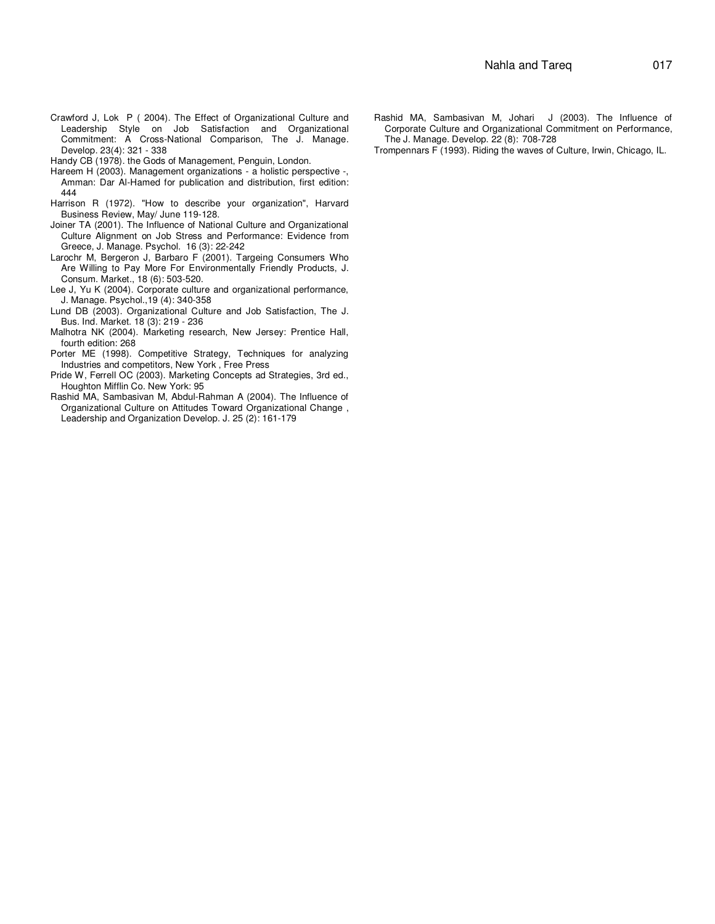- Crawford J, Lok P ( 2004). The Effect of Organizational Culture and Leadership Style on Job Satisfaction and Organizational Commitment: A Cross-National Comparison, The J. Manage. Develop. 23(4): 321 - 338
- Handy CB (1978). the Gods of Management, Penguin, London.
- Hareem H (2003). Management organizations a holistic perspective -, Amman: Dar Al-Hamed for publication and distribution, first edition: 444
- Harrison R (1972). "How to describe your organization", Harvard Business Review, May/ June 119-128.
- Joiner TA (2001). The Influence of National Culture and Organizational Culture Alignment on Job Stress and Performance: Evidence from Greece, J. Manage. Psychol. 16 (3): 22-242
- Larochr M, Bergeron J, Barbaro F (2001). Targeing Consumers Who Are Willing to Pay More For Environmentally Friendly Products, J. Consum. Market., 18 (6): 503-520.
- Lee J, Yu K (2004). Corporate culture and organizational performance, J. Manage. Psychol.,19 (4): 340-358
- Lund DB (2003). Organizational Culture and Job Satisfaction, The J. Bus. Ind. Market. 18 (3): 219 - 236
- Malhotra NK (2004). Marketing research, New Jersey: Prentice Hall, fourth edition: 268
- Porter ME (1998). Competitive Strategy, Techniques for analyzing Industries and competitors, New York , Free Press
- Pride W, Ferrell OC (2003). Marketing Concepts ad Strategies, 3rd ed., Houghton Mifflin Co. New York: 95
- Rashid MA, Sambasivan M, Abdul-Rahman A (2004). The Influence of Organizational Culture on Attitudes Toward Organizational Change , Leadership and Organization Develop. J. 25 (2): 161-179
- Rashid MA, Sambasivan M, Johari J (2003). The Influence of Corporate Culture and Organizational Commitment on Performance, The J. Manage. Develop. 22 (8): 708-728
- Trompennars F (1993). Riding the waves of Culture, Irwin, Chicago, IL.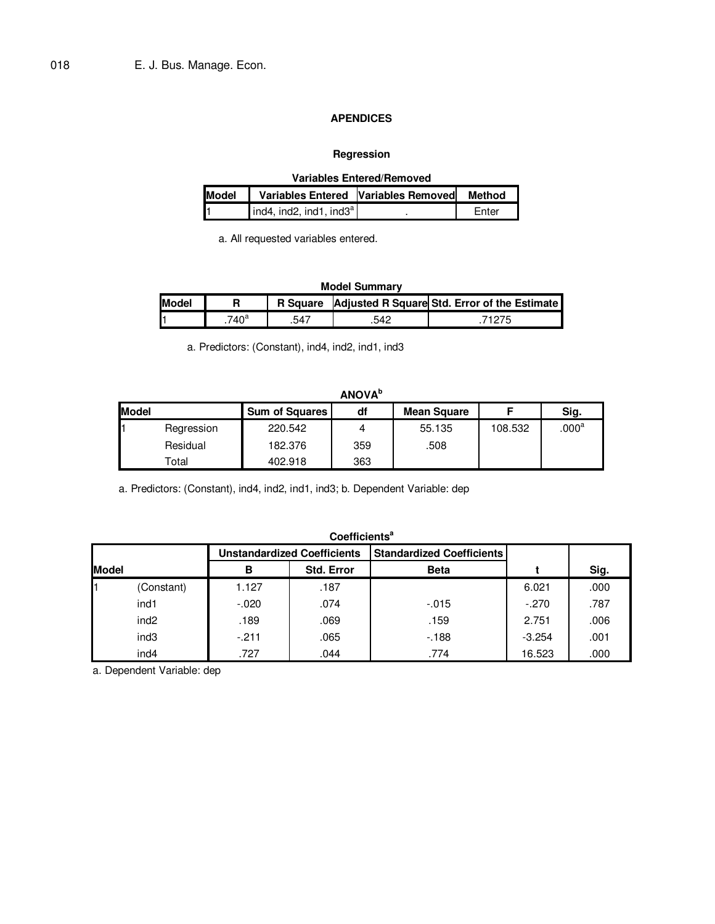#### **APENDICES**

# **Regression**

| <b>Variables Entered/Removed</b> |                                            |  |              |  |  |  |  |
|----------------------------------|--------------------------------------------|--|--------------|--|--|--|--|
| <b>Model</b>                     | Variables Entered Variables Removed Method |  |              |  |  |  |  |
|                                  | ind4, ind2, ind1, ind3 <sup>a</sup>        |  | <b>Enter</b> |  |  |  |  |

a. All requested variables entered.

# **Model Summary**

| <b>Model</b> |                | <b>R</b> Square |     | <b>Adiusted R Square Std. Error of the Estimate</b> |
|--------------|----------------|-----------------|-----|-----------------------------------------------------|
| н.           | .740 $\degree$ |                 | 54C |                                                     |

a. Predictors: (Constant), ind4, ind2, ind1, ind3

|              | ANUVA                      |                       |     |             |         |                |  |  |  |
|--------------|----------------------------|-----------------------|-----|-------------|---------|----------------|--|--|--|
| <b>Model</b> |                            | <b>Sum of Squares</b> | df  | Mean Square |         | Sig.           |  |  |  |
|              | Regression                 | 220.542               |     | 55.135      | 108.532 | $.000^{\rm a}$ |  |  |  |
|              | Residual                   | 182.376               | 359 | .508        |         |                |  |  |  |
|              | $\mathsf{r}_\mathsf{otal}$ | 402.918               | 363 |             |         |                |  |  |  |

a. Predictors: (Constant), ind4, ind2, ind1, ind3; b. Dependent Variable: dep

|              | Coefficients <sup>a</sup>                                              |         |            |             |          |      |  |  |  |
|--------------|------------------------------------------------------------------------|---------|------------|-------------|----------|------|--|--|--|
|              | <b>Unstandardized Coefficients</b><br><b>Standardized Coefficients</b> |         |            |             |          |      |  |  |  |
| <b>Model</b> |                                                                        | В       | Std. Error | <b>Beta</b> |          | Sig. |  |  |  |
|              | (Constant)                                                             | 1.127   | .187       |             | 6.021    | .000 |  |  |  |
|              | ind1                                                                   | $-.020$ | .074       | $-.015$     | $-.270$  | .787 |  |  |  |
|              | ind <sub>2</sub>                                                       | .189    | .069       | .159        | 2.751    | .006 |  |  |  |
|              | ind <sub>3</sub>                                                       | $-211$  | .065       | $-188$      | $-3.254$ | .001 |  |  |  |
|              | ind4                                                                   | .727    | .044       | .774        | 16.523   | .000 |  |  |  |

a. Dependent Variable: dep

# **ANOVA<sup>b</sup>**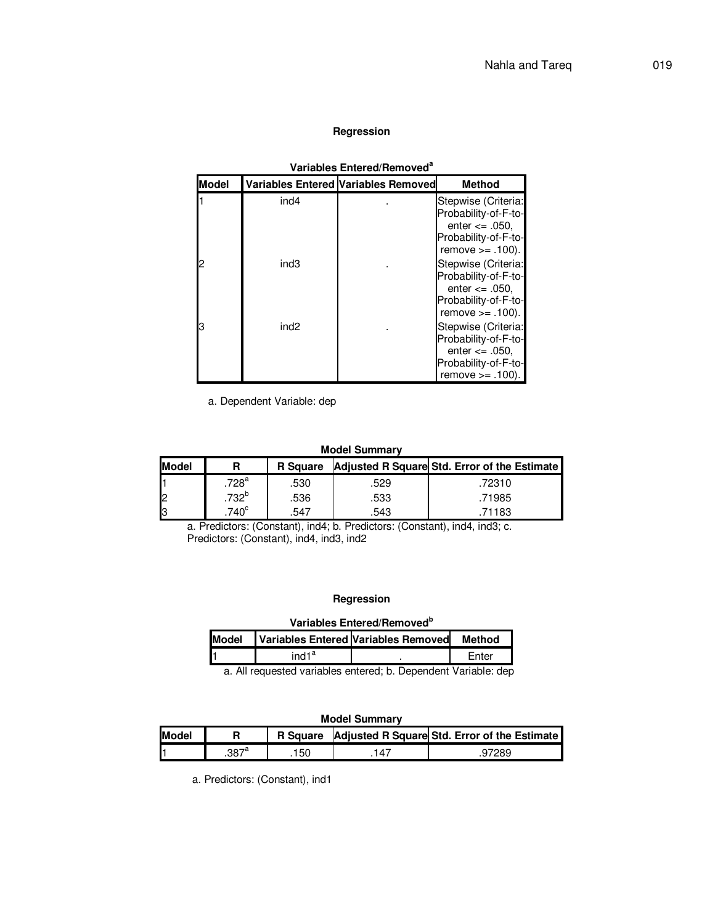#### **Regression**

| Valiables Elitereg/Rellioved |                  |                                            |                                                                                                                  |  |  |  |
|------------------------------|------------------|--------------------------------------------|------------------------------------------------------------------------------------------------------------------|--|--|--|
| Model                        |                  | <b>Variables Entered Variables Removed</b> | <b>Method</b>                                                                                                    |  |  |  |
|                              | ind4             |                                            | Stepwise (Criteria:<br>Probability-of-F-to-<br>enter $\leq$ .050.<br>Probability-of-F-to-<br>remove $>= .100$ .  |  |  |  |
|                              | ind3             |                                            | Stepwise (Criteria:<br>Probability-of-F-to-<br>enter $\leq$ .050,<br>Probability-of-F-to-<br>remove $>= .100$ ). |  |  |  |
|                              | ind <sub>2</sub> |                                            | Stepwise (Criteria:<br>Probability-of-F-to-<br>enter $\leq$ .050.<br>Probability-of-F-to-<br>remove $>= .100$ .  |  |  |  |

**Variables Entered/Removed<sup>a</sup>**

a. Dependent Variable: dep

#### **Model Summary**

| Model    |                     | <b>R</b> Square |      | Adjusted R Square Std. Error of the Estimate |
|----------|---------------------|-----------------|------|----------------------------------------------|
|          | $.728$ <sup>a</sup> | .530            | .529 | .72310                                       |
| Ŀ        | $.732^{b}$          | .536            | .533 | .71985                                       |
| <b>B</b> | $740^{\circ}$       | .547            | .543 | .71183                                       |

a. Predictors: (Constant), ind4; b. Predictors: (Constant), ind4, ind3; c. Predictors: (Constant), ind4, ind3, ind2

#### **Regression**

#### **Variables Entered/Removed<sup>b</sup>**

| <b>Model</b> |                   | Variables Entered Variables Removed | Method |
|--------------|-------------------|-------------------------------------|--------|
|              | ind1 <sup>a</sup> |                                     | Enter  |
| - - -        |                   |                                     |        |

a. All requested variables entered; b. Dependent Variable: dep

#### **Model Summary**

| <b>Model</b> |                | <b>R</b> Square |     | Adjusted R Square Std. Error of the Estimate |
|--------------|----------------|-----------------|-----|----------------------------------------------|
|              | $.387^{\circ}$ | 150             | .47 | 728S                                         |

a. Predictors: (Constant), ind1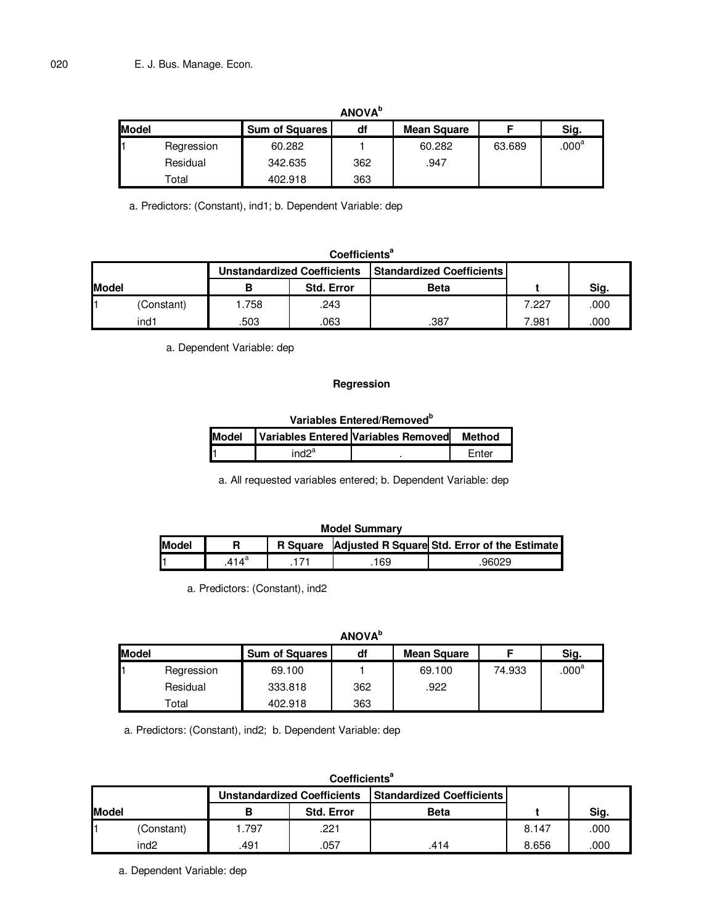|              |            |                       | <b>ANOVA</b> <sup>b</sup> |             |        |                |
|--------------|------------|-----------------------|---------------------------|-------------|--------|----------------|
| <b>Model</b> |            | <b>Sum of Squares</b> | df                        | Mean Square |        | Sig.           |
|              | Regression | 60.282                |                           | 60.282      | 63.689 | $.000^{\rm a}$ |
|              | Residual   | 342.635               | 362                       | .947        |        |                |
|              | Total      | 402.918               | 363                       |             |        |                |

a. Predictors: (Constant), ind1; b. Dependent Variable: dep

# **Coefficients<sup>a</sup>**

|              |            | <b>Unstandardized Coefficients</b> |                   | l Standardized Coefficients I |       |      |
|--------------|------------|------------------------------------|-------------------|-------------------------------|-------|------|
| <b>Model</b> |            |                                    | <b>Std. Error</b> | <b>Beta</b>                   |       | Sig. |
|              | (Constant) | .758                               | .243              |                               | 7.227 | .000 |
|              | ind1       | .503                               | .063              | .387                          | 7.981 | .000 |

a. Dependent Variable: dep

#### **Regression**

#### **Variables Entered/Removed<sup>b</sup> Model Variables Entered Variables Removed Method**   $ind2<sup>a</sup>$ . Enter

a. All requested variables entered; b. Dependent Variable: dep

#### **Model Summary Model | R | R Square Adjusted R Square Std. Error of the Estimate**  $.414$ <sup>a</sup> .171 .169 .96029

a. Predictors: (Constant), ind2

# **ANOVA<sup>b</sup>**

| <b>Model</b> |            | <b>Sum of Squares</b> | df<br><b>Mean Square</b> |        |        | Sig.           |  |
|--------------|------------|-----------------------|--------------------------|--------|--------|----------------|--|
|              | Regression | 69.100                |                          | 69.100 | 74.933 | $.000^{\rm a}$ |  |
|              | Residual   | 333.818               | 362                      | .922   |        |                |  |
|              | Total      | 402.918               | 363                      |        |        |                |  |

a. Predictors: (Constant), ind2; b. Dependent Variable: dep

|                                                                        | Coefficients <sup>a</sup> |       |                   |             |       |      |  |  |  |  |
|------------------------------------------------------------------------|---------------------------|-------|-------------------|-------------|-------|------|--|--|--|--|
| <b>Standardized Coefficients</b><br><b>Unstandardized Coefficients</b> |                           |       |                   |             |       |      |  |  |  |  |
| <b>Model</b>                                                           |                           | в     | <b>Std. Error</b> | <b>Beta</b> |       | Sig. |  |  |  |  |
|                                                                        | (Constant)                | 1.797 | .221              |             | 8.147 | .000 |  |  |  |  |
|                                                                        | ind <sub>2</sub>          | .491  | .057              | .414        | 8.656 | .000 |  |  |  |  |

a. Dependent Variable: dep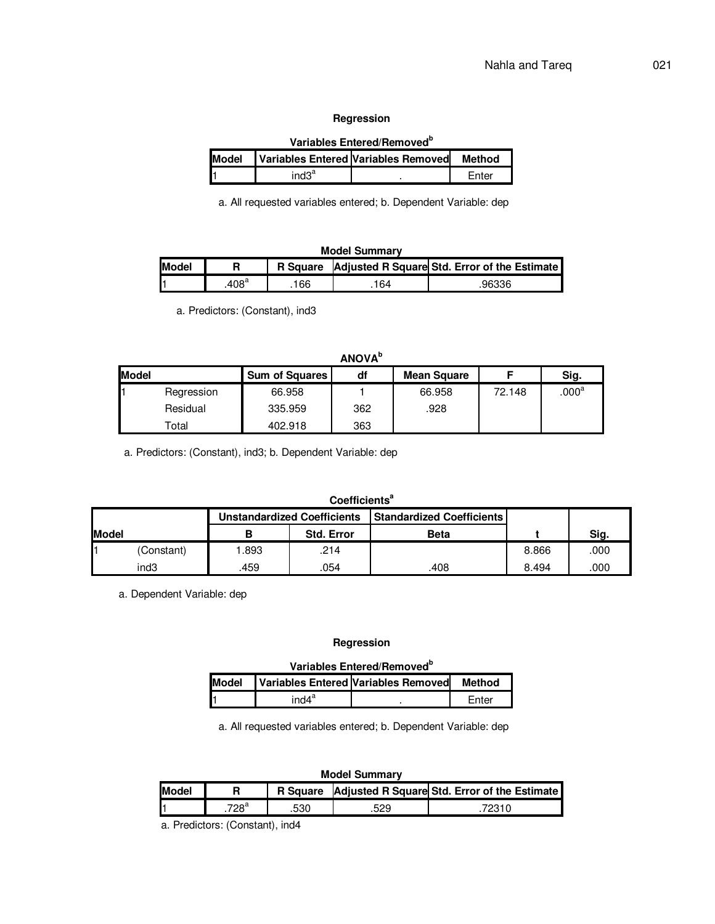#### **Regression**

|              | Variables Entered/Removed <sup>b</sup>        |  |       |  |  |  |  |  |  |  |
|--------------|-----------------------------------------------|--|-------|--|--|--|--|--|--|--|
| <b>Model</b> | Variables Entered Variables Removed<br>Method |  |       |  |  |  |  |  |  |  |
|              | ind3 <sup>a</sup>                             |  | Fnter |  |  |  |  |  |  |  |

a. All requested variables entered; b. Dependent Variable: dep

# **Model Summary**

| <b>Model</b> |                 | <b>R</b> Square |     | Adjusted R Square Std. Error of the Estimate |
|--------------|-----------------|-----------------|-----|----------------------------------------------|
|              | .408 $^{\circ}$ | 166             | 164 | 96336                                        |

a. Predictors: (Constant), ind3

|              | <b>ANOVA</b> <sup>b</sup> |                       |     |             |        |                   |  |  |  |  |  |
|--------------|---------------------------|-----------------------|-----|-------------|--------|-------------------|--|--|--|--|--|
| <b>Model</b> |                           | <b>Sum of Squares</b> | df  | Mean Square |        | Sig.              |  |  |  |  |  |
|              | Regression                | 66.958                |     | 66.958      | 72.148 | .000 <sup>a</sup> |  |  |  |  |  |
|              | Residual                  | 335.959               | 362 | .928        |        |                   |  |  |  |  |  |
|              | Total                     | 402.918               | 363 |             |        |                   |  |  |  |  |  |

a. Predictors: (Constant), ind3; b. Dependent Variable: dep

#### **Coefficients<sup>a</sup>**

|               |            |      | <b>Unstandardized Coefficients</b> | <b>Standardized Coefficients</b> |       |      |
|---------------|------------|------|------------------------------------|----------------------------------|-------|------|
| <b>IModel</b> |            |      | <b>Std. Error</b>                  | <b>Beta</b>                      |       | Sig. |
|               | (Constant) | .893 | .214                               |                                  | 8.866 | .000 |
|               | ind3       | .459 | 054                                | .408                             | 8.494 | .000 |

a. Dependent Variable: dep

#### **Regression**

# **Variables Entered/Removed<sup>b</sup>**

| <b>Model</b> |                   | Variables Entered Variables Removed | Method |
|--------------|-------------------|-------------------------------------|--------|
|              | ind4 <sup>a</sup> |                                     | Fnter  |

a. All requested variables entered; b. Dependent Variable: dep

#### **Model Summary**

| <b>Model</b> |      |     | R Square Adjusted R Square Std. Error of the Estimate |
|--------------|------|-----|-------------------------------------------------------|
|              | 7∩oª | 530 | 70211                                                 |

a. Predictors: (Constant), ind4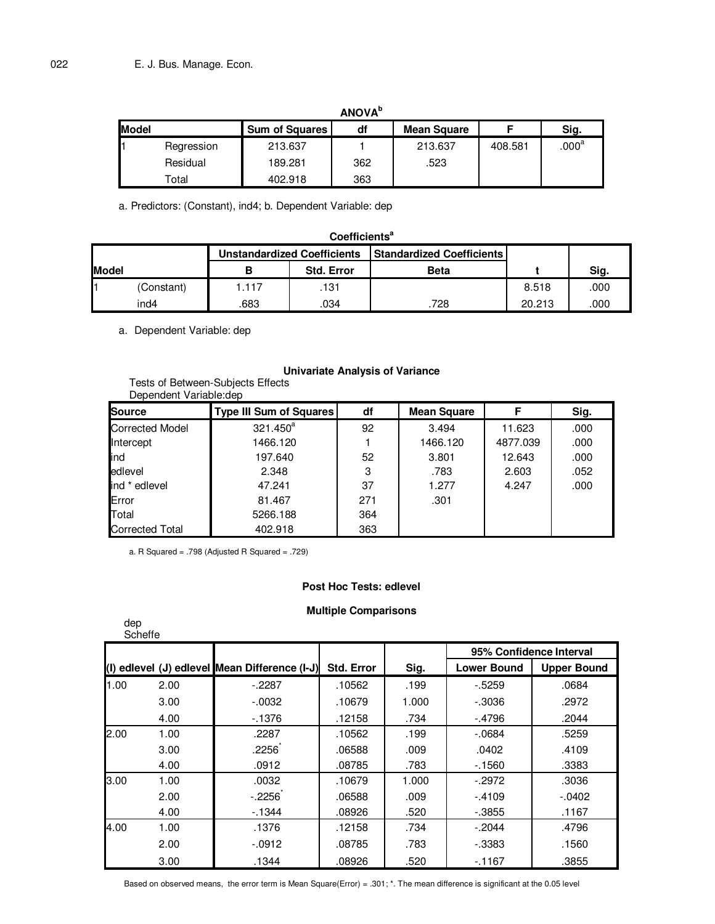|       | <b>ANOVA</b> <sup>b</sup> |                       |     |             |         |                   |  |  |  |  |  |
|-------|---------------------------|-----------------------|-----|-------------|---------|-------------------|--|--|--|--|--|
| Model |                           | <b>Sum of Squares</b> | df  | Mean Square |         | Sig.              |  |  |  |  |  |
|       | Regression                | 213.637               |     | 213.637     | 408.581 | .000 <sup>a</sup> |  |  |  |  |  |
|       | Residual                  | 189.281               | 362 | .523        |         |                   |  |  |  |  |  |
|       | Total                     | 402.918               | 363 |             |         |                   |  |  |  |  |  |

a. Predictors: (Constant), ind4; b. Dependent Variable: dep

|                                                                        | Coefficients <sup>a</sup> |       |                   |      |        |      |  |  |  |  |
|------------------------------------------------------------------------|---------------------------|-------|-------------------|------|--------|------|--|--|--|--|
| <b>Standardized Coefficients</b><br><b>Unstandardized Coefficients</b> |                           |       |                   |      |        |      |  |  |  |  |
| Model                                                                  |                           | в     | <b>Std. Error</b> | Beta |        | Sig. |  |  |  |  |
|                                                                        | (Constant)                | 1.117 | .131              |      | 8.518  | .000 |  |  |  |  |
|                                                                        | ind4                      | .683  | .034              | 728  | 20.213 | .000 |  |  |  |  |

a. Dependent Variable: dep

### **Univariate Analysis of Variance**

Tests of Between-Subjects Effects Dependent Variable:dep

| Source                 | <b>Type III Sum of Squares</b> | df  | <b>Mean Square</b> | F        | Sig. |
|------------------------|--------------------------------|-----|--------------------|----------|------|
| <b>Corrected Model</b> | $321.450^a$                    | 92  | 3.494              | 11.623   | .000 |
| Intercept              | 1466.120                       |     | 1466.120           | 4877.039 | .000 |
| ind                    | 197.640                        | 52  | 3.801              | 12.643   | .000 |
| edlevel                | 2.348                          | 3   | .783               | 2.603    | .052 |
| ind * edlevel          | 47.241                         | 37  | 1.277              | 4.247    | .000 |
| Error                  | 81.467                         | 271 | .301               |          |      |
| Total                  | 5266.188                       | 364 |                    |          |      |
| <b>Corrected Total</b> | 402.918                        | 363 |                    |          |      |

a. R Squared = .798 (Adjusted R Squared = .729)

# **Post Hoc Tests: edlevel**

# **Multiple Comparisons**

| dep<br>Scheffe |      |                                               |                   |       |                         |                    |
|----------------|------|-----------------------------------------------|-------------------|-------|-------------------------|--------------------|
|                |      |                                               |                   |       | 95% Confidence Interval |                    |
|                |      | (I) edlevel (J) edlevel Mean Difference (I-J) | <b>Std. Error</b> | Sig.  | <b>Lower Bound</b>      | <b>Upper Bound</b> |
| 1.00           | 2.00 | $-2287$                                       | .10562            | .199  | $-5259$                 | .0684              |
|                | 3.00 | $-0.0032$                                     | .10679            | 1.000 | $-0.3036$               | .2972              |
|                | 4.00 | $-1376$                                       | .12158            | .734  | $-4796$                 | .2044              |
| 2.00           | 1.00 | .2287                                         | .10562            | .199  | $-0684$                 | .5259              |
|                | 3.00 | .2256                                         | .06588            | .009  | .0402                   | .4109              |
|                | 4.00 | .0912                                         | .08785            | .783  | $-1560$                 | .3383              |
| 3.00           | 1.00 | .0032                                         | .10679            | 1.000 | $-2972$                 | .3036              |
|                | 2.00 | $-.2256$                                      | .06588            | .009  | $-.4109$                | $-0.0402$          |
|                | 4.00 | $-1344$                                       | .08926            | .520  | $-0.3855$               | .1167              |
| 4.00           | 1.00 | .1376                                         | .12158            | .734  | $-.2044$                | .4796              |
|                | 2.00 | $-0.0912$                                     | .08785            | .783  | $-0.3383$               | .1560              |
|                | 3.00 | .1344                                         | .08926            | .520  | $-1167$                 | .3855              |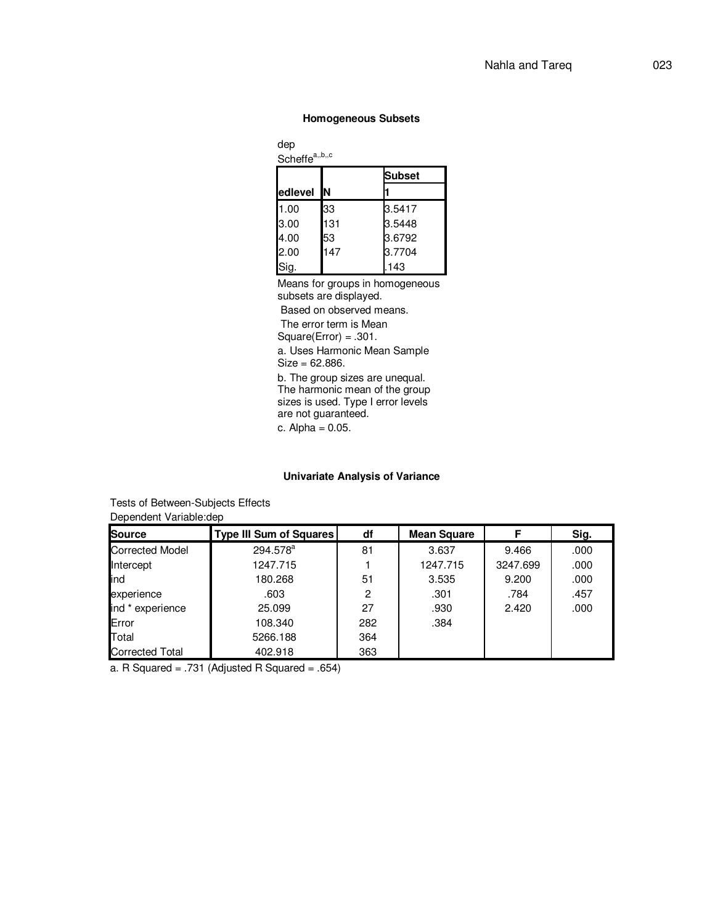#### **Homogeneous Subsets**

dep Scheffe<sup>a,,b,,c</sup>

|         |     | <b>Subset</b> |  |  |
|---------|-----|---------------|--|--|
| edlevel | ΙN  |               |  |  |
| 1.00    | 33  | 3.5417        |  |  |
| 3.00    | 131 | 3.5448        |  |  |
| 4.00    | 53  | 3.6792        |  |  |
| 2.00    | 147 | 3.7704        |  |  |
| Sig.    |     | 143           |  |  |

Means for groups in homogeneous subsets are displayed.

Based on observed means.

The error term is Mean

Square(Error) = .301.

a. Uses Harmonic Mean Sample Size = 62.886.

b. The group sizes are unequal. The harmonic mean of the group sizes is used. Type I error levels are not guaranteed.

c. Alpha =  $0.05$ .

### **Univariate Analysis of Variance**

Tests of Between-Subjects Effects

Dependent Variable:dep

| <b>Source</b>          | Type III Sum of Squares | df  | <b>Mean Square</b> | F        | Sig. |
|------------------------|-------------------------|-----|--------------------|----------|------|
| <b>Corrected Model</b> | 294.578 <sup>a</sup>    | 81  | 3.637              | 9.466    | .000 |
| Intercept              | 1247.715                |     | 1247.715           | 3247.699 | .000 |
| ind                    | 180.268                 | 51  | 3.535              | 9.200    | .000 |
| experience             | .603                    | 2   | .301               | .784     | .457 |
| ind * experience       | 25.099                  | 27  | .930               | 2.420    | .000 |
| Error                  | 108.340                 | 282 | .384               |          |      |
| Total                  | 5266.188                | 364 |                    |          |      |
| <b>Corrected Total</b> | 402.918                 | 363 |                    |          |      |

a. R Squared = .731 (Adjusted R Squared = .654)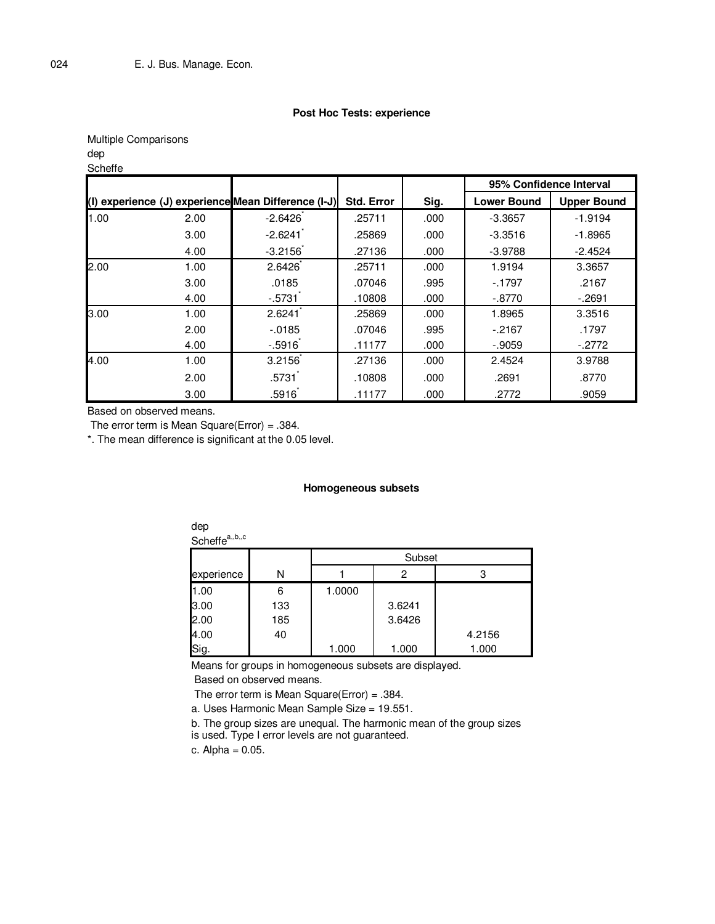#### **Post Hoc Tests: experience**

Multiple Comparisons dep

# **Scheffe**

|      |      |                                                     |                   |      | 95% Confidence Interval |                    |
|------|------|-----------------------------------------------------|-------------------|------|-------------------------|--------------------|
|      |      | (I) experience (J) experience Mean Difference (I-J) | <b>Std. Error</b> | Sig. | <b>Lower Bound</b>      | <b>Upper Bound</b> |
| 1.00 | 2.00 | $-2.6426$                                           | .25711            | .000 | $-3.3657$               | $-1.9194$          |
|      | 3.00 | $-2.6241$                                           | .25869            | .000 | $-3.3516$               | $-1.8965$          |
|      | 4.00 | $-3.2156$                                           | .27136            | .000 | $-3.9788$               | $-2.4524$          |
| 2.00 | 1.00 | 2.6426                                              | .25711            | .000 | 1.9194                  | 3.3657             |
|      | 3.00 | .0185                                               | .07046            | .995 | $-1797$                 | .2167              |
|      | 4.00 | $-0.5731$                                           | .10808            | .000 | $-.8770$                | $-2691$            |
| 3.00 | 1.00 | 2.6241                                              | .25869            | .000 | 1.8965                  | 3.3516             |
|      | 2.00 | $-0.0185$                                           | .07046            | .995 | $-.2167$                | .1797              |
|      | 4.00 | $-.5916$                                            | .11177            | .000 | $-0.9059$               | $-.2772$           |
| 4.00 | 1.00 | 3.2156                                              | .27136            | .000 | 2.4524                  | 3.9788             |
|      | 2.00 | $.5731$ <sup>*</sup>                                | .10808            | .000 | .2691                   | .8770              |
|      | 3.00 | .5916                                               | .11177            | .000 | .2772                   | .9059              |

Based on observed means.

The error term is Mean Square(Error) =  $.384$ .

\*. The mean difference is significant at the 0.05 level.

#### **Homogeneous subsets**

| dep<br>Scheffe <sup>a,,b,,c</sup> |     |        |        |        |  |  |
|-----------------------------------|-----|--------|--------|--------|--|--|
|                                   |     | Subset |        |        |  |  |
| experience                        | N   |        | 2      | 3      |  |  |
| 1.00                              | 6   | 1.0000 |        |        |  |  |
| 3.00                              | 133 |        | 3.6241 |        |  |  |
| 2.00                              | 185 |        | 3.6426 |        |  |  |
|                                   | 40  |        |        | 4.2156 |  |  |
| 4.00<br>Sig.                      |     | 1.000  | 1.000  | 1.000  |  |  |

Means for groups in homogeneous subsets are displayed.

Based on observed means.

The error term is Mean Square(Error) =  $.384$ .

a. Uses Harmonic Mean Sample Size = 19.551.

b. The group sizes are unequal. The harmonic mean of the group sizes

is used. Type I error levels are not guaranteed.

c.  $Alpha = 0.05$ .